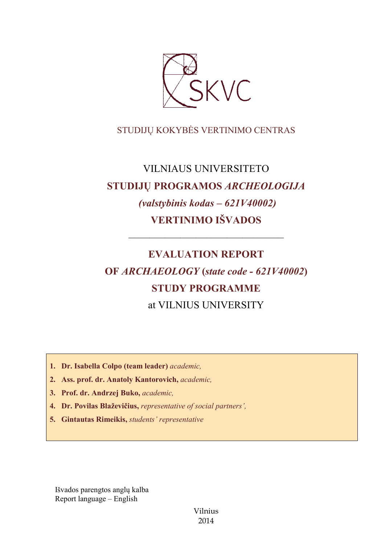

# STUDIJŲ KOKYBĖS VERTINIMO CENTRAS

# VILNIAUS UNIVERSITETO **STUDIJŲ PROGRAMOS** *ARCHEOLOGIJA (valstybinis kodas – 621V40002)* **VERTINIMO IŠVADOS**

––––––––––––––––––––––––––––––

# **EVALUATION REPORT OF** *ARCHAEOLOGY* **(***state code - 621V40002***) STUDY PROGRAMME** at VILNIUS UNIVERSITY

- **1. Dr. Isabella Colpo (team leader)** *academic,*
- **2. Ass. prof. dr. Anatoly Kantorovich,** *academic,*
- **3. Prof. dr. Andrzej Buko,** *academic,*
- **4. Dr. Povilas Blaževičius,** *representative of social partners',*
- **5. Gintautas Rimeikis,** *students' representative*

Išvados parengtos anglų kalba Report language – English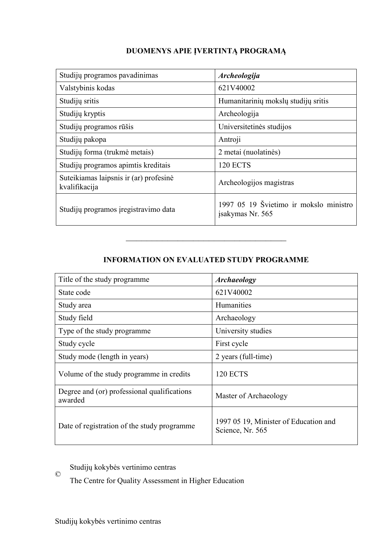# **DUOMENYS APIE ĮVERTINTĄ PROGRAMĄ**

| Studijų programos pavadinimas                           | <b>Archeologija</b>                                        |
|---------------------------------------------------------|------------------------------------------------------------|
| Valstybinis kodas                                       | 621V40002                                                  |
| Studijų sritis                                          | Humanitarinių mokslų studijų sritis                        |
| Studijų kryptis                                         | Archeologija                                               |
| Studijų programos rūšis                                 | Universitetinės studijos                                   |
| Studijų pakopa                                          | Antroji                                                    |
| Studijų forma (trukmė metais)                           | 2 metai (nuolatinės)                                       |
| Studijų programos apimtis kreditais                     | <b>120 ECTS</b>                                            |
| Suteikiamas laipsnis ir (ar) profesinė<br>kvalifikacija | Archeologijos magistras                                    |
| Studijų programos įregistravimo data                    | 1997 05 19 Švietimo ir mokslo ministro<br>jsakymas Nr. 565 |

# **INFORMATION ON EVALUATED STUDY PROGRAMME**

–––––––––––––––––––––––––––––––

| Title of the study programme.                          | <b>Archaeology</b>                                        |
|--------------------------------------------------------|-----------------------------------------------------------|
| State code                                             | 621V40002                                                 |
| Study area                                             | <b>Humanities</b>                                         |
| Study field                                            | Archaeology                                               |
| Type of the study programme                            | University studies                                        |
| Study cycle                                            | First cycle                                               |
| Study mode (length in years)                           | 2 years (full-time)                                       |
| Volume of the study programme in credits               | <b>120 ECTS</b>                                           |
| Degree and (or) professional qualifications<br>awarded | Master of Archaeology                                     |
| Date of registration of the study programme            | 1997 05 19, Minister of Education and<br>Science, Nr. 565 |

© Studijų kokybės vertinimo centras

The Centre for Quality Assessment in Higher Education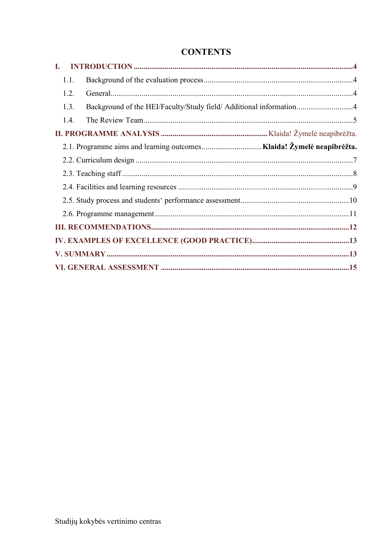# **CONTENTS**

| L    |  |
|------|--|
| 1.1. |  |
| 1.2. |  |
| 1.3. |  |
| 1.4. |  |
|      |  |
|      |  |
|      |  |
|      |  |
|      |  |
|      |  |
|      |  |
|      |  |
|      |  |
|      |  |
|      |  |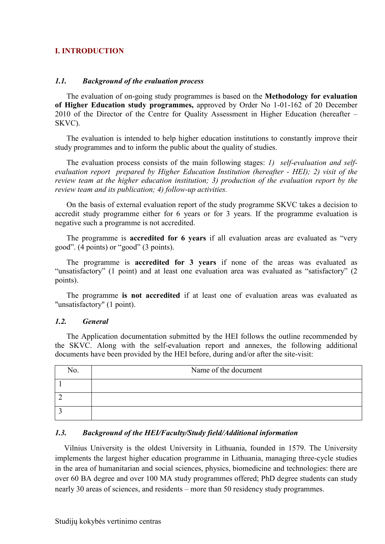# <span id="page-3-0"></span>**I. INTRODUCTION**

## <span id="page-3-1"></span>*1.1. Background of the evaluation process*

The evaluation of on-going study programmes is based on the **Methodology for evaluation of Higher Education study programmes,** approved by Order No 1-01-162 of 20 December 2010 of the Director of the Centre for Quality Assessment in Higher Education (hereafter – SKVC).

The evaluation is intended to help higher education institutions to constantly improve their study programmes and to inform the public about the quality of studies.

The evaluation process consists of the main following stages: *1) self-evaluation and selfevaluation report prepared by Higher Education Institution (hereafter - HEI); 2) visit of the review team at the higher education institution; 3) production of the evaluation report by the review team and its publication; 4) follow-up activities.*

On the basis of external evaluation report of the study programme SKVC takes a decision to accredit study programme either for 6 years or for 3 years. If the programme evaluation is negative such a programme is not accredited.

The programme is **accredited for 6 years** if all evaluation areas are evaluated as "very good". (4 points) or "good" (3 points).

The programme is **accredited for 3 years** if none of the areas was evaluated as "unsatisfactory" (1 point) and at least one evaluation area was evaluated as "satisfactory" (2 points).

The programme **is not accredited** if at least one of evaluation areas was evaluated as "unsatisfactory" (1 point).

# <span id="page-3-2"></span>*1.2. General*

The Application documentation submitted by the HEI follows the outline recommended by the SKVC. Along with the self-evaluation report and annexes, the following additional documents have been provided by the HEI before, during and/or after the site-visit:

| No. | Name of the document |
|-----|----------------------|
|     |                      |
|     |                      |
|     |                      |

## <span id="page-3-3"></span>*1.3. Background of the HEI/Faculty/Study field/Additional information*

Vilnius University is the oldest University in Lithuania, founded in 1579. The University implements the largest higher education programme in Lithuania, managing three-cycle studies in the area of humanitarian and social sciences, physics, biomedicine and technologies: there are over 60 BA degree and over 100 MA study programmes offered; PhD degree students can study nearly 30 areas of sciences, and residents – more than 50 residency study programmes.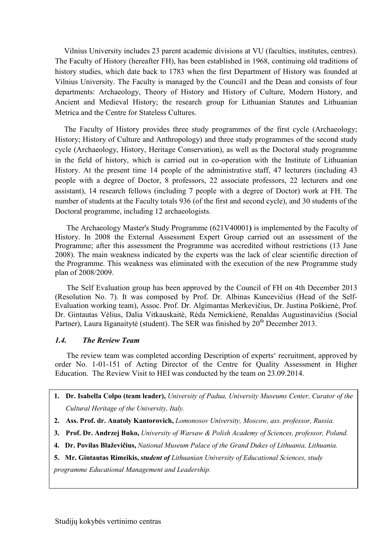Vilnius University includes 23 parent academic divisions at VU (faculties, institutes, centres). The Faculty of History (hereafter FH), has been established in 1968, continuing old traditions of history studies, which date back to 1783 when the first Department of History was founded at Vilnius University. The Faculty is managed by the Council1 and the Dean and consists of four departments: Archaeology, Theory of History and History of Culture, Modern History, and Ancient and Medieval History; the research group for Lithuanian Statutes and Lithuanian Metrica and the Centre for Stateless Cultures.

The Faculty of History provides three study programmes of the first cycle (Archaeology; History; History of Culture and Anthropology) and three study programmes of the second study cycle (Archaeology, History, Heritage Conservation), as well as the Doctoral study programme in the field of history, which is carried out in co-operation with the Institute of Lithuanian History. At the present time 14 people of the administrative staff, 47 lecturers (including 43 people with a degree of Doctor, 8 professors, 22 associate professors, 22 lecturers and one assistant), 14 research fellows (including 7 people with a degree of Doctor) work at FH. The number of students at the Faculty totals 936 (of the first and second cycle), and 30 students of the Doctoral programme, including 12 archaeologists.

The Archaeology Master's Study Programme (621V40001**)** is implemented by the Faculty of History. In 2008 the External Assessment Expert Group carried out an assessment of the Programme; after this assessment the Programme was accredited without restrictions (13 June 2008). The main weakness indicated by the experts was the lack of clear scientific direction of the Programme. This weakness was eliminated with the execution of the new Programme study plan of 2008/2009.

The Self Evaluation group has been approved by the Council of FH on 4th December 2013 (Resolution No. 7). It was composed by Prof. Dr. Albinas Kuncevičius (Head of the Self-Evaluation working team), Assoc. Prof. Dr. Algimantas Merkevičius, Dr. Justina Poškienė, Prof. Dr. Gintautas Vėlius, Dalia Vitkauskaitė, Rėda Nemickienė, Renaldas Augustinavičius (Social Partner), Laura Išganaitytė (student). The SER was finished by 20<sup>th</sup> December 2013.

## <span id="page-4-0"></span>*1.4. The Review Team*

The review team was completed according Description of experts' recruitment, approved by order No. 1-01-151 of Acting Director of the Centre for Quality Assessment in Higher Education. The Review Visit to HEI was conducted by the team on 23.09.2014.

- **1. Dr. Isabella Colpo (team leader),** *University of Padua, University Museums Center, Curator of the Cultural Heritage of the University, Italy.*
- **2. Ass. Prof. dr. Anatoly Kantorovich,** *Lomonosov University, Moscow, ass. professor, Russia.*
- **3. Prof. Dr. Andrzej Buko,** *University of Warsaw & Polish Academy of Sciences, professor, Poland.*
- **4. Dr. Povilas Blaževičius,** *National Museum Palace of the Grand Dukes of Lithuania, Lithuania.*
- **5. Mr. Gintautas Rimeikis,** *student of Lithuanian University of Educational Sciences, study*

*programme Educational Management and Leadership.*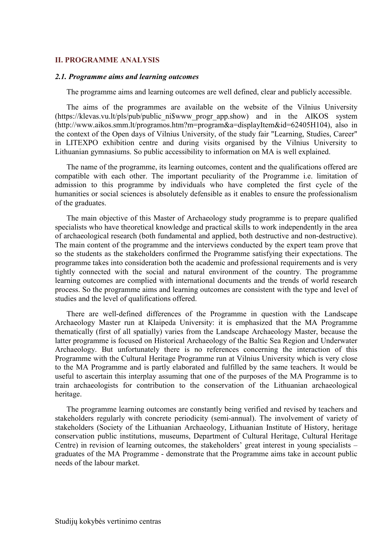#### **II. PROGRAMME ANALYSIS**

#### *2.1. Programme aims and learning outcomes*

The programme aims and learning outcomes are well defined, clear and publicly accessible.

The aims of the programmes are available on the website of the Vilnius University (https://klevas.vu.lt/pls/pub/public\_ni\$www\_progr\_app.show) and in the AIKOS system (http://www.aikos.smm.lt/programos.htm?m=program&a=displayItem&id=62405H104), also in the context of the Open days of Vilnius University, of the study fair "Learning, Studies, Career" in LITEXPO exhibition centre and during visits organised by the Vilnius University to Lithuanian gymnasiums. So public accessibility to information on MA is well explained.

The name of the programme, its learning outcomes, content and the qualifications offered are compatible with each other. The important peculiarity of the Programme i.e. limitation of admission to this programme by individuals who have completed the first cycle of the humanities or social sciences is absolutely defensible as it enables to ensure the professionalism of the graduates.

The main objective of this Master of Archaeology study programme is to prepare qualified specialists who have theoretical knowledge and practical skills to work independently in the area of archaeological research (both fundamental and applied, both destructive and non-destructive). The main content of the programme and the interviews conducted by the expert team prove that so the students as the stakeholders confirmed the Programme satisfying their expectations. The programme takes into consideration both the academic and professional requirements and is very tightly connected with the social and natural environment of the country. The programme learning outcomes are complied with international documents and the trends of world research process. So the programme aims and learning outcomes are consistent with the type and level of studies and the level of qualifications offered.

There are well-defined differences of the Programme in question with the Landscape Archaeology Master run at Klaipeda University: it is emphasized that the MA Programme thematically (first of all spatially) varies from the Landscape Archaeology Master, because the latter programme is focused on Historical Archaeology of the Baltic Sea Region and Underwater Archaeology. But unfortunately there is no references concerning the interaction of this Programme with the Cultural Heritage Programme run at Vilnius University which is very close to the MA Programme and is partly elaborated and fulfilled by the same teachers. It would be useful to ascertain this interplay assuming that one of the purposes of the MA Programme is to train archaeologists for contribution to the conservation of the Lithuanian archaeological heritage.

The programme learning outcomes are constantly being verified and revised by teachers and stakeholders regularly with concrete periodicity (semi-annual). The involvement of variety of stakeholders (Society of the Lithuanian Archaeology, Lithuanian Institute of History, heritage conservation public institutions, museums, Department of Cultural Heritage, Cultural Heritage Centre) in revision of learning outcomes, the stakeholders' great interest in young specialists – graduates of the MA Programme - demonstrate that the Programme aims take in account public needs of the labour market.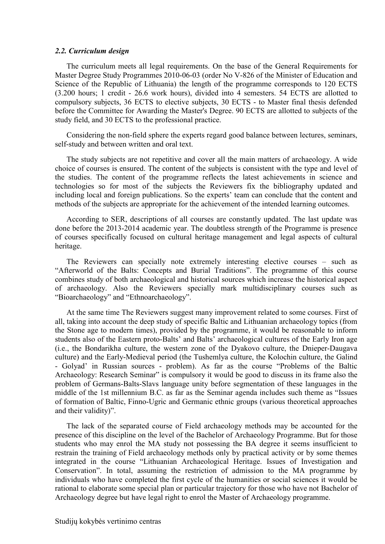#### <span id="page-6-0"></span>*2.2. Curriculum design*

The curriculum meets all legal requirements. On the base of the General Requirements for Master Degree Study Programmes 2010-06-03 (order No V-826 of the Minister of Education and Science of the Republic of Lithuania) the length of the programme corresponds to 120 ECTS (3.200 hours; 1 credit - 26.6 work hours), divided into 4 semesters. 54 ECTS are allotted to compulsory subjects, 36 ECTS to elective subjects, 30 ECTS - to Master final thesis defended before the Committee for Awarding the Master's Degree. 90 ECTS are allotted to subjects of the study field, and 30 ECTS to the professional practice.

Considering the non-field sphere the experts regard good balance between lectures, seminars, self-study and between written and oral text.

The study subjects are not repetitive and cover all the main matters of archaeology. A wide choice of courses is ensured. The content of the subjects is consistent with the type and level of the studies. The content of the programme reflects the latest achievements in science and technologies so for most of the subjects the Reviewers fix the bibliography updated and including local and foreign publications. So the experts' team can conclude that the content and methods of the subjects are appropriate for the achievement of the intended learning outcomes.

According to SER, descriptions of all courses are constantly updated. The last update was done before the 2013-2014 academic year. The doubtless strength of the Programme is presence of courses specifically focused on cultural heritage management and legal aspects of cultural heritage.

The Reviewers can specially note extremely interesting elective courses – such as "Afterworld of the Balts: Concepts and Burial Traditions". The programme of this course combines study of both archaeological and historical sources which increase the historical aspect of archaeology. Also the Reviewers specially mark multidisciplinary courses such as "Bioarchaeology" and "Ethnoarchaeology".

At the same time The Reviewers suggest many improvement related to some courses. First of all, taking into account the deep study of specific Baltic and Lithuanian archaeology topics (from the Stone age to modern times), provided by the programme, it would be reasonable to inform students also of the Eastern proto-Balts' and Balts' archaeological cultures of the Early Iron age (i.e., the Bondarikha culture, the western zone of the Dyakovo culture, the Dnieper-Daugava culture) and the Early-Medieval period (the Tushemlya culture, the Kolochin culture, the Galind - Golyad' in Russian sources - problem). As far as the course "Problems of the Baltic Archaeology: Research Seminar" is compulsory it would be good to discuss in its frame also the problem of Germans-Balts-Slavs language unity before segmentation of these languages in the middle of the 1st millennium B.C. as far as the Seminar agenda includes such theme as "Issues of formation of Baltic, Finno-Ugric and Germanic ethnic groups (various theoretical approaches and their validity)".

The lack of the separated course of Field archaeology methods may be accounted for the presence of this discipline on the level of the Bachelor of Archaeology Programme. But for those students who may enrol the MA study not possessing the BA degree it seems insufficient to restrain the training of Field archaeology methods only by practical activity or by some themes integrated in the course "Lithuanian Archaeological Heritage. Issues of Investigation and Conservation". In total, assuming the restriction of admission to the MA programme by individuals who have completed the first cycle of the humanities or social sciences it would be rational to elaborate some special plan or particular trajectory for those who have not Bachelor of Archaeology degree but have legal right to enrol the Master of Archaeology programme.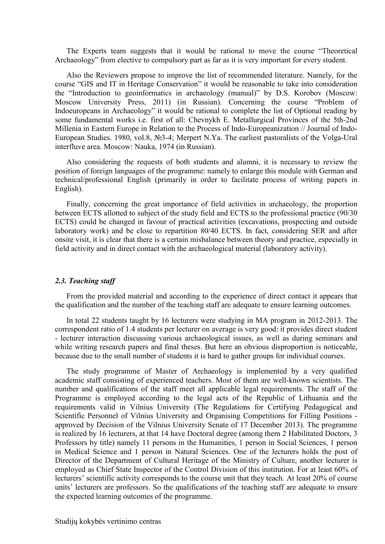The Experts team suggests that it would be rational to move the course "Theoretical Archaeology" from elective to compulsory part as far as it is very important for every student.

Also the Reviewers propose to improve the list of recommended literature. Namely, for the course "GIS and IT in Heritage Conservation" it would be reasonable to take into consideration the "Introduction to geoinformatics in archaeology (manual)" by D.S. Korobov (Moscow: Moscow University Press, 2011) (in Russian). Concerning the course "Problem of Indoeuropeans in Archaeology" it would be rational to complete the list of Optional reading by some fundamental works i.e. first of all: Chevnykh E. Metallurgical Provinces of the 5th-2nd Millenia in Eastern Europe in Relation to the Process of Indo-Europeanization // Journal of Indo-European Studies. 1980, vol.8, №3-4; Merpert N.Ya. The earliest pastoralists of the Volga-Ural interfluve area. Moscow: Nauka, 1974 (in Russian).

Also considering the requests of both students and alumni, it is necessary to review the position of foreign languages of the programme: namely to enlarge this module with German and technical/professional English (primarily in order to facilitate process of writing papers in English).

Finally, concerning the great importance of field activities in archaeology, the proportion between ECTS allotted to subject of the study field and ECTS to the professional practice (90/30 ECTS) could be changed in favour of practical activities (excavations, prospecting and outside laboratory work) and be close to repartition 80/40 ECTS. In fact, considering SER and after onsite visit, it is clear that there is a certain misbalance between theory and practice, especially in field activity and in direct contact with the archaeological material (laboratory activity).

#### *2.3. Teaching staff*

From the provided material and according to the experience of direct contact it appears that the qualification and the number of the teaching staff are adequate to ensure learning outcomes.

In total 22 students taught by 16 lecturers were studying in MA program in 2012-2013. The correspondent ratio of 1.4 students per lecturer on average is very good: it provides direct student - lecturer interaction discussing various archaeological issues, as well as during seminars and while writing research papers and final theses. But here an obvious disproportion is noticeable, because due to the small number of students it is hard to gather groups for individual courses.

<span id="page-7-0"></span>The study programme of Master of Archaeology is implemented by a very qualified academic staff consisting of experienced teachers. Most of them are well-known scientists. The number and qualifications of the staff meet all applicable legal requirements. The staff of the Programme is employed according to the legal acts of the Republic of Lithuania and the requirements valid in Vilnius University (The Regulations for Certifying Pedagogical and Scientific Personnel of Vilnius University and Organising Competitions for Filling Positions approved by Decision of the Vilnius University Senate of 17 December 2013). The programme is realized by 16 lecturers, at that 14 have Doctoral degree (among them 2 Habilitated Doctors, 3 Professors by title) namely 11 persons in the Humanities, 1 person in Social Sciences, 1 person in Medical Science and 1 person in Natural Sciences. One of the lecturers holds the post of Director of the Department of Cultural Heritage of the Ministry of Culture, another lecturer is employed as Chief State Inspector of the Control Division of this institution. For at least 60% of lecturers' scientific activity corresponds to the course unit that they teach. At least 20% of course units' lecturers are professors. So the qualifications of the teaching staff are adequate to ensure the expected learning outcomes of the programme.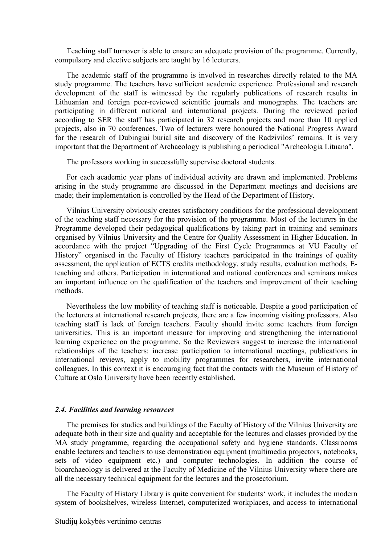Teaching staff turnover is able to ensure an adequate provision of the programme. Currently, compulsory and elective subjects are taught by 16 lecturers.

The academic staff of the programme is involved in researches directly related to the MA study programme. The teachers have sufficient academic experience. Professional and research development of the staff is witnessed by the regularly publications of research results in Lithuanian and foreign peer-reviewed scientific journals and monographs. The teachers are participating in different national and international projects. During the reviewed period according to SER the staff has participated in 32 research projects and more than 10 applied projects, also in 70 conferences. Two of lecturers were honoured the National Progress Award for the research of Dubingiai burial site and discovery of the Radzivilos' remains. It is very important that the Department of Archaeology is publishing a periodical "Archeologia Lituana".

The professors working in successfully supervise doctoral students.

For each academic year plans of individual activity are drawn and implemented. Problems arising in the study programme are discussed in the Department meetings and decisions are made; their implementation is controlled by the Head of the Department of History.

Vilnius University obviously creates satisfactory conditions for the professional development of the teaching staff necessary for the provision of the programme. Most of the lecturers in the Programme developed their pedagogical qualifications by taking part in training and seminars organised by Vilnius University and the Centre for Quality Assessment in Higher Education. In accordance with the project "Upgrading of the First Cycle Programmes at VU Faculty of History" organised in the Faculty of History teachers participated in the trainings of quality assessment, the application of ECTS credits methodology, study results, evaluation methods, Eteaching and others. Participation in international and national conferences and seminars makes an important influence on the qualification of the teachers and improvement of their teaching methods.

Nevertheless the low mobility of teaching staff is noticeable. Despite a good participation of the lecturers at international research projects, there are a few incoming visiting professors. Also teaching staff is lack of foreign teachers. Faculty should invite some teachers from foreign universities. This is an important measure for improving and strengthening the international learning experience on the programme. So the Reviewers suggest to increase the international relationships of the teachers: increase participation to international meetings, publications in international reviews, apply to mobility programmes for researchers, invite international colleagues. In this context it is encouraging fact that the contacts with the Museum of History of Culture at Oslo University have been recently established.

#### <span id="page-8-0"></span>*2.4. Facilities and learning resources*

The premises for studies and buildings of the Faculty of History of the Vilnius University are adequate both in their size and quality and acceptable for the lectures and classes provided by the MA study programme, regarding the occupational safety and hygiene standards. Classrooms enable lecturers and teachers to use demonstration equipment (multimedia projectors, notebooks, sets of video equipment etc.) and computer technologies. In addition the course of bioarchaeology is delivered at the Faculty of Medicine of the Vilnius University where there are all the necessary technical equipment for the lectures and the prosectorium.

The Faculty of History Library is quite convenient for students' work, it includes the modern system of bookshelves, wireless Internet, computerized workplaces, and access to international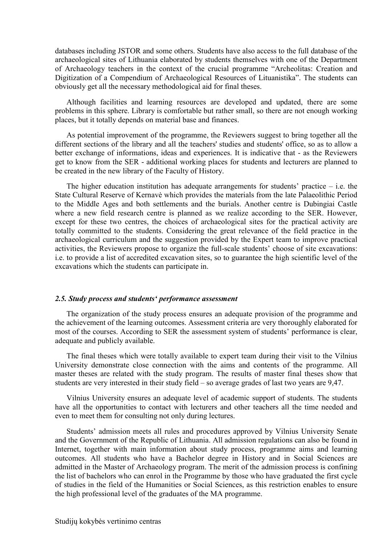databases including JSTOR and some others. Students have also access to the full database of the archaeological sites of Lithuania elaborated by students themselves with one of the Department of Archaeology teachers in the context of the crucial programme "Archeolitas: Creation and Digitization of a Compendium of Archaeological Resources of Lituanistika". The students can obviously get all the necessary methodological aid for final theses.

Although facilities and learning resources are developed and updated, there are some problems in this sphere. Library is comfortable but rather small, so there are not enough working places, but it totally depends on material base and finances.

As potential improvement of the programme, the Reviewers suggest to bring together all the different sections of the library and all the teachers' studies and students' office, so as to allow a better exchange of informations, ideas and experiences. It is indicative that - as the Reviewers get to know from the SER - additional working places for students and lecturers are planned to be created in the new library of the Faculty of History.

The higher education institution has adequate arrangements for students' practice  $-$  i.e. the State Cultural Reserve of Kernavė which provides the materials from the late Palaeolithic Period to the Middle Ages and both settlements and the burials. Another centre is Dubingiai Castle where a new field research centre is planned as we realize according to the SER. However, except for these two centres, the choices of archaeological sites for the practical activity are totally committed to the students. Considering the great relevance of the field practice in the archaeological curriculum and the suggestion provided by the Expert team to improve practical activities, the Reviewers propose to organize the full-scale students' choose of site excavations: i.e. to provide a list of accredited excavation sites, so to guarantee the high scientific level of the excavations which the students can participate in.

#### <span id="page-9-0"></span>*2.5. Study process and students' performance assessment*

The organization of the study process ensures an adequate provision of the programme and the achievement of the learning outcomes. Assessment criteria are very thoroughly elaborated for most of the courses. According to SER the assessment system of students' performance is clear, adequate and publicly available.

The final theses which were totally available to expert team during their visit to the Vilnius University demonstrate close connection with the aims and contents of the programme. All master theses are related with the study program. The results of master final theses show that students are very interested in their study field – so average grades of last two years are 9,47.

Vilnius University ensures an adequate level of academic support of students. The students have all the opportunities to contact with lecturers and other teachers all the time needed and even to meet them for consulting not only during lectures.

Students' admission meets all rules and procedures approved by Vilnius University Senate and the Government of the Republic of Lithuania. All admission regulations can also be found in Internet, together with main information about study process, programme aims and learning outcomes. All students who have a Bachelor degree in History and in Social Sciences are admitted in the Master of Archaeology program. The merit of the admission process is confining the list of bachelors who can enrol in the Programme by those who have graduated the first cycle of studies in the field of the Humanities or Social Sciences, as this restriction enables to ensure the high professional level of the graduates of the MA programme.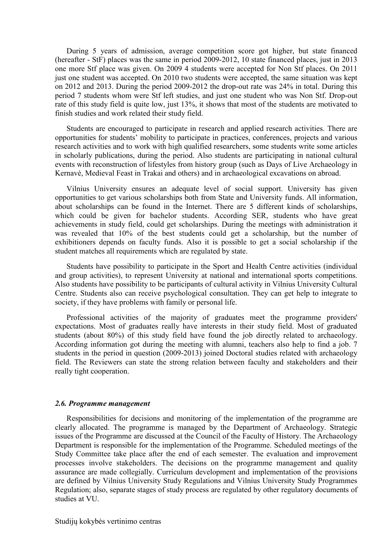During 5 years of admission, average competition score got higher, but state financed (hereafter - StF) places was the same in period 2009-2012, 10 state financed places, just in 2013 one more Stf place was given. On 2009 4 students were accepted for Non Stf places. On 2011 just one student was accepted. On 2010 two students were accepted, the same situation was kept on 2012 and 2013. During the period 2009-2012 the drop-out rate was 24% in total. During this period 7 students whom were Stf left studies, and just one student who was Non Stf. Drop-out rate of this study field is quite low, just 13%, it shows that most of the students are motivated to finish studies and work related their study field.

Students are encouraged to participate in research and applied research activities. There are opportunities for students' mobility to participate in practices, conferences, projects and various research activities and to work with high qualified researchers, some students write some articles in scholarly publications, during the period. Also students are participating in national cultural events with reconstruction of lifestyles from history group (such as Days of Live Archaeology in Kernavė, Medieval Feast in Trakai and others) and in archaeological excavations on abroad.

Vilnius University ensures an adequate level of social support. University has given opportunities to get various scholarships both from State and University funds. All information, about scholarships can be found in the Internet. There are 5 different kinds of scholarships, which could be given for bachelor students. According SER, students who have great achievements in study field, could get scholarships. During the meetings with administration it was revealed that 10% of the best students could get a scholarship, but the number of exhibitioners depends on faculty funds. Also it is possible to get a social scholarship if the student matches all requirements which are regulated by state.

Students have possibility to participate in the Sport and Health Centre activities (individual and group activities), to represent University at national and international sports competitions. Also students have possibility to be participants of cultural activity in Vilnius University Cultural Centre. Students also can receive psychological consultation. They can get help to integrate to society, if they have problems with family or personal life.

Professional activities of the majority of graduates meet the programme providers' expectations. Most of graduates really have interests in their study field. Most of graduated students (about 80%) of this study field have found the job directly related to archaeology. According information got during the meeting with alumni, teachers also help to find a job. 7 students in the period in question (2009-2013) joined Doctoral studies related with archaeology field. The Reviewers can state the strong relation between faculty and stakeholders and their really tight cooperation.

#### <span id="page-10-0"></span>*2.6. Programme management*

Responsibilities for decisions and monitoring of the implementation of the programme are clearly allocated. The programme is managed by the Department of Archaeology. Strategic issues of the Programme are discussed at the Council of the Faculty of History. The Archaeology Department is responsible for the implementation of the Programme. Scheduled meetings of the Study Committee take place after the end of each semester. The evaluation and improvement processes involve stakeholders. The decisions on the programme management and quality assurance are made collegially. Curriculum development and implementation of the provisions are defined by Vilnius University Study Regulations and Vilnius University Study Programmes Regulation; also, separate stages of study process are regulated by other regulatory documents of studies at VU.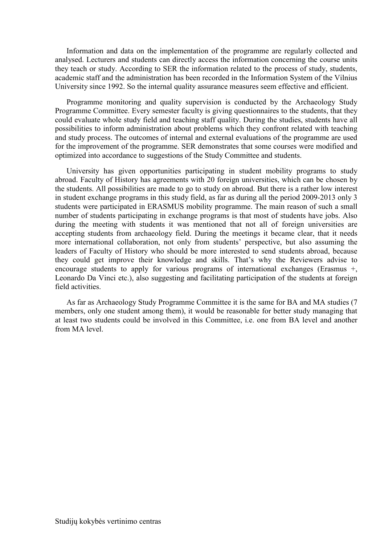Information and data on the implementation of the programme are regularly collected and analysed. Lecturers and students can directly access the information concerning the course units they teach or study. According to SER the information related to the process of study, students, academic staff and the administration has been recorded in the Information System of the Vilnius University since 1992. So the internal quality assurance measures seem effective and efficient.

Programme monitoring and quality supervision is conducted by the Archaeology Study Programme Committee. Every semester faculty is giving questionnaires to the students, that they could evaluate whole study field and teaching staff quality. During the studies, students have all possibilities to inform administration about problems which they confront related with teaching and study process. The outcomes of internal and external evaluations of the programme are used for the improvement of the programme. SER demonstrates that some courses were modified and optimized into accordance to suggestions of the Study Committee and students.

University has given opportunities participating in student mobility programs to study abroad. Faculty of History has agreements with 20 foreign universities, which can be chosen by the students. All possibilities are made to go to study on abroad. But there is a rather low interest in student exchange programs in this study field, as far as during all the period 2009-2013 only 3 students were participated in ERASMUS mobility programme. The main reason of such a small number of students participating in exchange programs is that most of students have jobs. Also during the meeting with students it was mentioned that not all of foreign universities are accepting students from archaeology field. During the meetings it became clear, that it needs more international collaboration, not only from students' perspective, but also assuming the leaders of Faculty of History who should be more interested to send students abroad, because they could get improve their knowledge and skills. That's why the Reviewers advise to encourage students to apply for various programs of international exchanges (Erasmus +, Leonardo Da Vinci etc.), also suggesting and facilitating participation of the students at foreign field activities.

As far as Archaeology Study Programme Committee it is the same for BA and MA studies (7 members, only one student among them), it would be reasonable for better study managing that at least two students could be involved in this Committee, i.e. one from BA level and another from MA level.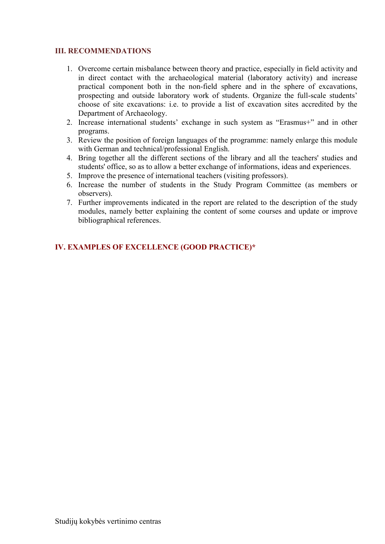# **III. RECOMMENDATIONS**

- 1. Overcome certain misbalance between theory and practice, especially in field activity and in direct contact with the archaeological material (laboratory activity) and increase practical component both in the non-field sphere and in the sphere of excavations, prospecting and outside laboratory work of students. Organize the full-scale students' choose of site excavations: i.e. to provide a list of excavation sites accredited by the Department of Archaeology.
- 2. Increase international students' exchange in such system as "Erasmus+" and in other programs.
- 3. Review the position of foreign languages of the programme: namely enlarge this module with German and technical/professional English.
- 4. Bring together all the different sections of the library and all the teachers' studies and students' office, so as to allow a better exchange of informations, ideas and experiences.
- 5. Improve the presence of international teachers (visiting professors).
- 6. Increase the number of students in the Study Program Committee (as members or observers).
- 7. Further improvements indicated in the report are related to the description of the study modules, namely better explaining the content of some courses and update or improve bibliographical references.

# <span id="page-12-1"></span><span id="page-12-0"></span>**IV. EXAMPLES OF EXCELLENCE (GOOD PRACTICE)\***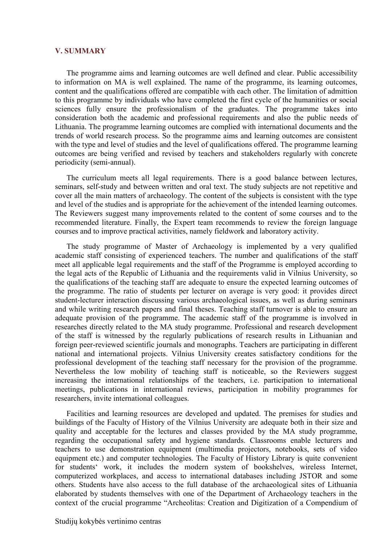#### **V. SUMMARY**

The programme aims and learning outcomes are well defined and clear. Public accessibility to information on MA is well explained. The name of the programme, its learning outcomes, content and the qualifications offered are compatible with each other. The limitation of admittion to this programme by individuals who have completed the first cycle of the humanities or social sciences fully ensure the professionalism of the graduates. The programme takes into consideration both the academic and professional requirements and also the public needs of Lithuania. The programme learning outcomes are complied with international documents and the trends of world research process. So the programme aims and learning outcomes are consistent with the type and level of studies and the level of qualifications offered. The programme learning outcomes are being verified and revised by teachers and stakeholders regularly with concrete periodicity (semi-annual).

The curriculum meets all legal requirements. There is a good balance between lectures, seminars, self-study and between written and oral text. The study subjects are not repetitive and cover all the main matters of archaeology. The content of the subjects is consistent with the type and level of the studies and is appropriate for the achievement of the intended learning outcomes. The Reviewers suggest many improvements related to the content of some courses and to the recommended literature. Finally, the Expert team recommends to review the foreign language courses and to improve practical activities, namely fieldwork and laboratory activity.

<span id="page-13-0"></span>The study programme of Master of Archaeology is implemented by a very qualified academic staff consisting of experienced teachers. The number and qualifications of the staff meet all applicable legal requirements and the staff of the Programme is employed according to the legal acts of the Republic of Lithuania and the requirements valid in Vilnius University, so the qualifications of the teaching staff are adequate to ensure the expected learning outcomes of the programme. The ratio of students per lecturer on average is very good: it provides direct student-lecturer interaction discussing various archaeological issues, as well as during seminars and while writing research papers and final theses. Teaching staff turnover is able to ensure an adequate provision of the programme. The academic staff of the programme is involved in researches directly related to the MA study programme. Professional and research development of the staff is witnessed by the regularly publications of research results in Lithuanian and foreign peer-reviewed scientific journals and monographs. Teachers are participating in different national and international projects. Vilnius University creates satisfactory conditions for the professional development of the teaching staff necessary for the provision of the programme. Nevertheless the low mobility of teaching staff is noticeable, so the Reviewers suggest increasing the international relationships of the teachers, i.e. participation to international meetings, publications in international reviews, participation in mobility programmes for researchers, invite international colleagues.

Facilities and learning resources are developed and updated. The premises for studies and buildings of the Faculty of History of the Vilnius University are adequate both in their size and quality and acceptable for the lectures and classes provided by the MA study programme, regarding the occupational safety and hygiene standards. Classrooms enable lecturers and teachers to use demonstration equipment (multimedia projectors, notebooks, sets of video equipment etc.) and computer technologies. The Faculty of History Library is quite convenient for students' work, it includes the modern system of bookshelves, wireless Internet, computerized workplaces, and access to international databases including JSTOR and some others. Students have also access to the full database of the archaeological sites of Lithuania elaborated by students themselves with one of the Department of Archaeology teachers in the context of the crucial programme "Archeolitas: Creation and Digitization of a Compendium of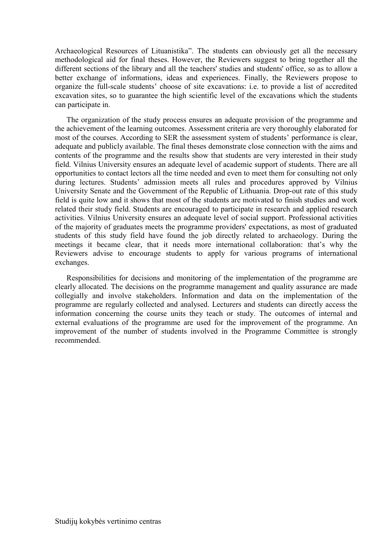Archaeological Resources of Lituanistika". The students can obviously get all the necessary methodological aid for final theses. However, the Reviewers suggest to bring together all the different sections of the library and all the teachers' studies and students' office, so as to allow a better exchange of informations, ideas and experiences. Finally, the Reviewers propose to organize the full-scale students' choose of site excavations: i.e. to provide a list of accredited excavation sites, so to guarantee the high scientific level of the excavations which the students can participate in.

The organization of the study process ensures an adequate provision of the programme and the achievement of the learning outcomes. Assessment criteria are very thoroughly elaborated for most of the courses. According to SER the assessment system of students' performance is clear, adequate and publicly available. The final theses demonstrate close connection with the aims and contents of the programme and the results show that students are very interested in their study field. Vilnius University ensures an adequate level of academic support of students. There are all opportunities to contact lectors all the time needed and even to meet them for consulting not only during lectures. Students' admission meets all rules and procedures approved by Vilnius University Senate and the Government of the Republic of Lithuania. Drop-out rate of this study field is quite low and it shows that most of the students are motivated to finish studies and work related their study field. Students are encouraged to participate in research and applied research activities. Vilnius University ensures an adequate level of social support. Professional activities of the majority of graduates meets the programme providers' expectations, as most of graduated students of this study field have found the job directly related to archaeology. During the meetings it became clear, that it needs more international collaboration: that's why the Reviewers advise to encourage students to apply for various programs of international exchanges.

Responsibilities for decisions and monitoring of the implementation of the programme are clearly allocated. The decisions on the programme management and quality assurance are made collegially and involve stakeholders. Information and data on the implementation of the programme are regularly collected and analysed. Lecturers and students can directly access the information concerning the course units they teach or study. The outcomes of internal and external evaluations of the programme are used for the improvement of the programme. An improvement of the number of students involved in the Programme Committee is strongly recommended.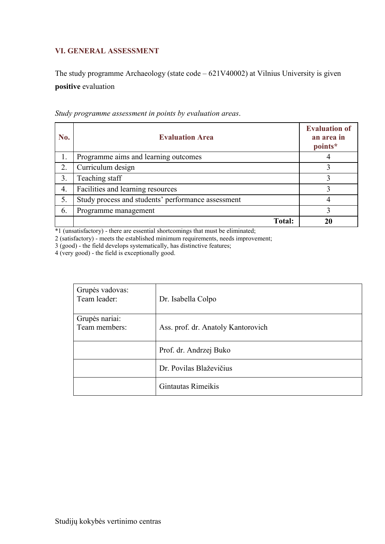# **VI. GENERAL ASSESSMENT**

The study programme Archaeology (state code – 621V40002) at Vilnius University is given **positive** evaluation

| No.              | <b>Evaluation Area</b>                             | <b>Evaluation of</b><br>an area in<br>points* |
|------------------|----------------------------------------------------|-----------------------------------------------|
|                  | Programme aims and learning outcomes               |                                               |
| 2.               | Curriculum design                                  |                                               |
| 3.               | Teaching staff                                     |                                               |
| $\overline{4}$ . | Facilities and learning resources                  |                                               |
| 5.               | Study process and students' performance assessment |                                               |
| 6.               | Programme management                               |                                               |
|                  | <b>Total:</b>                                      |                                               |

*Study programme assessment in points by evaluation areas*.

\*1 (unsatisfactory) - there are essential shortcomings that must be eliminated;

2 (satisfactory) - meets the established minimum requirements, needs improvement;

3 (good) - the field develops systematically, has distinctive features;

4 (very good) - the field is exceptionally good.

<span id="page-15-0"></span>

| Grupės vadovas:<br>Team leader: | Dr. Isabella Colpo                 |
|---------------------------------|------------------------------------|
| Grupės nariai:                  |                                    |
|                                 |                                    |
| Team members:                   | Ass. prof. dr. Anatoly Kantorovich |
|                                 |                                    |
|                                 | Prof. dr. Andrzej Buko             |
|                                 |                                    |
|                                 | Dr. Povilas Blaževičius            |
|                                 | Gintautas Rimeikis                 |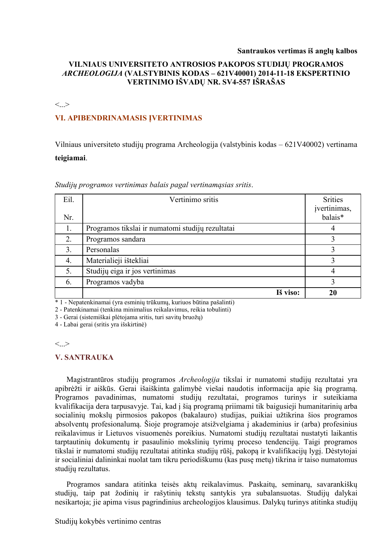#### **Santraukos vertimas iš anglų kalbos**

# **VILNIAUS UNIVERSITETO ANTROSIOS PAKOPOS STUDIJŲ PROGRAMOS**  *ARCHEOLOGIJA* **(VALSTYBINIS KODAS – 621V40001) 2014-11-18 EKSPERTINIO VERTINIMO IŠVADŲ NR. SV4-557 IŠRAŠAS**

#### $\langle \cdot \rangle$

## **VI. APIBENDRINAMASIS ĮVERTINIMAS**

Vilniaus universiteto studijų programa Archeologija (valstybinis kodas – 621V40002) vertinama **teigiamai**.

| Eil. | Vertinimo sritis                                 | <b>Srities</b>          |
|------|--------------------------------------------------|-------------------------|
| Nr.  |                                                  | įvertinimas,<br>balais* |
| 1.   | Programos tikslai ir numatomi studijų rezultatai |                         |
| 2.   | Programos sandara                                | 3                       |
| 3.   | Personalas                                       | 3                       |
| 4.   | Materialieji ištekliai                           | 3                       |
| 5.   | Studijų eiga ir jos vertinimas                   | 4                       |
| 6.   | Programos vadyba                                 | 3                       |
|      | Iš viso:                                         | 20                      |

*Studijų programos vertinimas balais pagal vertinamąsias sritis*.

\* 1 - Nepatenkinamai (yra esminių trūkumų, kuriuos būtina pašalinti)

2 - Patenkinamai (tenkina minimalius reikalavimus, reikia tobulinti)

3 - Gerai (sistemiškai plėtojama sritis, turi savitų bruožų)

4 - Labai gerai (sritis yra išskirtinė)

#### $\langle \rangle$

#### **V. SANTRAUKA**

Magistrantūros studijų programos *Archeologija* tikslai ir numatomi studijų rezultatai yra apibrėžti ir aiškūs. Gerai išaiškinta galimybė viešai naudotis informacija apie šią programą. Programos pavadinimas, numatomi studijų rezultatai, programos turinys ir suteikiama kvalifikacija dera tarpusavyje. Tai, kad į šią programą priimami tik baigusieji humanitarinių arba socialinių mokslų pirmosios pakopos (bakalauro) studijas, puikiai užtikrina šios programos absolventų profesionalumą. Šioje programoje atsižvelgiama į akademinius ir (arba) profesinius reikalavimus ir Lietuvos visuomenės poreikius. Numatomi studijų rezultatai nustatyti laikantis tarptautinių dokumentų ir pasaulinio mokslinių tyrimų proceso tendencijų. Taigi programos tikslai ir numatomi studijų rezultatai atitinka studijų rūšį, pakopą ir kvalifikacijų lygį. Dėstytojai ir socialiniai dalininkai nuolat tam tikru periodiškumu (kas pusę metų) tikrina ir taiso numatomus studijų rezultatus.

Programos sandara atitinka teisės aktų reikalavimus. Paskaitų, seminarų, savarankiškų studijų, taip pat žodinių ir rašytinių tekstų santykis yra subalansuotas. Studijų dalykai nesikartoja; jie apima visus pagrindinius archeologijos klausimus. Dalykų turinys atitinka studijų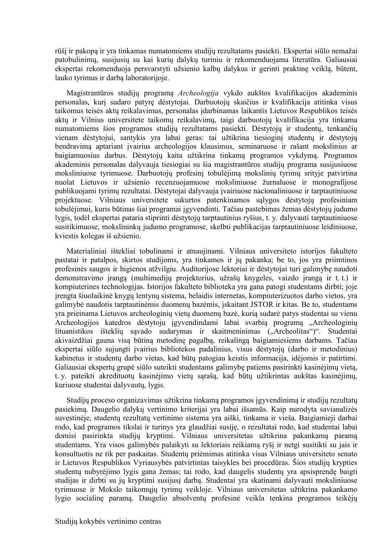rūšį ir pakopą ir yra tinkamas numatomiems studijų rezultatams pasiekti. Ekspertai siūlo nemažai patobulinimų, susijusių su kai kurių dalykų turiniu ir rekomenduojama literatūra. Galiausiai ekspertai rekomenduoja persvarstyti užsienio kalbų dalykus ir gerinti praktinę veiklą, būtent, lauko tyrimus ir darbą laboratorijoje.

Magistrantūros studijų programą *Archeologija* vykdo aukštos kvalifikacijos akademinis personalas, kurį sudaro patyrę dėstytojai. Darbuotojų skaičius ir kvalifikacija atitinka visus taikomus teisės aktų reikalavimus, personalas įdarbinamas laikantis Lietuvos Respublikos teisės aktų ir Vilnius universitete taikomų reikalavimų, taigi darbuotojų kvalifikacija yra tinkama numatomiems šios programos studijų rezultatams pasiekti. Dėstytojų ir studentų, tenkančių vienam dėstytojui, santykis yra labai geras: tai užtikrina tiesioginį studentų ir dėstytojų bendravimą aptariant įvairius archeologijos klausimus, seminaruose ir rašant mokslinius ar baigiamuosius darbus. Dėstytojų kaita užtikrina tinkamą programos vykdymą. Programos akademinis personalas dalyvauja tiesiogiai su šia magistrantūros studijų programa susijusiuose moksliniuose tyrimuose. Darbuotojų profesinį tobulėjimą mokslinių tyrimų srityje patvirtina nuolat Lietuvos ir užsienio recenzuojamuose moksliniuose žurnaluose ir monografijose publikuojami tyrimų rezultatai. Dėstytojai dalyvauja įvairiuose nacionaliniuose ir tarptautiniuose projektuose. Vilniaus universitete sukurtos patenkinamos sąlygos dėstytojų profesiniam tobulėjimui, kuris būtinas šiai programai įgyvendinti. Tačiau pastebimas žemas dėstytojų judumo lygis, todėl ekspertai pataria stiprinti dėstytojų tarptautinius ryšius, t. y. dalyvauti tarptautiniuose susitikimuose, mokslininkų judumo programose, skelbti publikacijas tarptautiniuose leidiniuose, kviestis kolegas iš užsienio.

Materialiniai ištekliai tobulinami ir atnaujinami. Vilniaus universiteto istorijos fakulteto pastatai ir patalpos, skirtos studijoms, yra tinkamos ir jų pakanka; be to, jos yra priimtinos profesinės saugos ir higienos atžvilgiu. Auditorijose lektoriai ir dėstytojai turi galimybę naudoti demonstravimo įrangą (multimedijų projektorius, užrašų knygeles, vaizdo įrangą ir t. t.) ir kompiuterines technologijas. Istorijos fakulteto biblioteka yra gana patogi studentams dirbti; joje įrengta šiuolaikinė knygų lentynų sistema, belaidis internetas, kompiuterizuotos darbo vietos, yra galimybė naudotis tarptautinėmis duomenų bazėmis, įskaitant JSTOR ir kitas. Be to, studentams yra prieinama Lietuvos archeologinių vietų duomenų bazė, kurią sudarė patys studentai su vienu Archeologijos katedros dėstytoju įgyvendindami labai svarbią programą "Archeologinių lituanistikos išteklių savado sudarymas ir skaitmeninimas ("Archeolitas")". Studentai akivaizdžiai gauna visą būtiną metodinę pagalbą, reikalingą baigiamiesiems darbams. Tačiau ekspertai siūlo sujungti įvairius bibliotekos padalinius, visus dėstytojų (darbo ir metodinius) kabinetus ir studentų darbo vietas, kad būtų patogiau keistis informacija, idėjomis ir patirtimi. Galiausiai ekspertų grupė siūlo suteikti studentams galimybę patiems pasirinkti kasinėjimų vietą, t. y. pateikti akredituotų kasinėjimo vietų sąrašą, kad būtų užtikrintas aukštas kasinėjimų, kuriuose studentai dalyvautų, lygis.

Studiju proceso organizavimas užtikrina tinkamą programos įgyvendinimą ir studijų rezultatų pasiekimą. Daugelio dalykų vertinimo kriterijai yra labai išsamūs. Kaip nurodyta savianalizės suvestinėje, studentų rezultatų vertinimo sistema yra aiški, tinkama ir vieša. Baigiamieji darbai rodo, kad programos tikslai ir turinys yra glaudžiai susiję, o rezultatai rodo, kad studentai labai domisi pasirinkta studijų kryptimi. Vilniaus universitetas užtikrina pakankamą paramą studentams. Yra visos galimybės palaikyti su lektoriais reikiamą ryšį ir netgi susitikti su jais ir konsultuotis ne tik per paskaitas. Studentų priėmimas atitinka visas Vilniaus universiteto senato ir Lietuvos Respublikos Vyriausybės patvirtintas taisykles bei procedūras. Šios studijų krypties studentų nubyrėjimo lygis gana žemas; tai rodo, kad daugelis studentų yra apsisprendę baigti studijas ir dirbti su jų kryptimi susijusį darbą. Studentai yra skatinami dalyvauti moksliniuose tyrimuose ir Mokslo taikomųjų tyrimų veikloje. Vilniaus universitetas užtikrina pakankamo lygio socialinę paramą. Daugelio absolventų profesinė veikla tenkina programos teikėjų